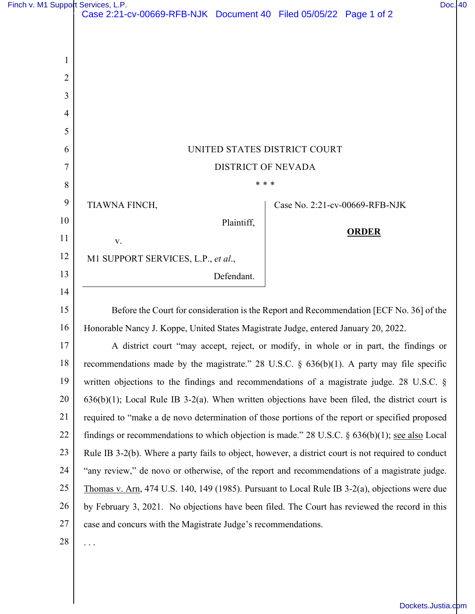|  | Finch v. M1 Support Services, L.P. |  |
|--|------------------------------------|--|
|  |                                    |  |

| Finch v. M1 Support Services, L.P. |                                                                                                     |                                |              | Doc. 40 |  |
|------------------------------------|-----------------------------------------------------------------------------------------------------|--------------------------------|--------------|---------|--|
|                                    | Case 2:21-cv-00669-RFB-NJK Document 40 Filed 05/05/22 Page 1 of 2                                   |                                |              |         |  |
|                                    |                                                                                                     |                                |              |         |  |
| 1                                  |                                                                                                     |                                |              |         |  |
| $\overline{2}$                     |                                                                                                     |                                |              |         |  |
| 3                                  |                                                                                                     |                                |              |         |  |
| 4                                  |                                                                                                     |                                |              |         |  |
| 5                                  |                                                                                                     |                                |              |         |  |
| 6                                  | UNITED STATES DISTRICT COURT                                                                        |                                |              |         |  |
| 7                                  | <b>DISTRICT OF NEVADA</b>                                                                           |                                |              |         |  |
| 8                                  |                                                                                                     | * * *                          |              |         |  |
| 9                                  | TIAWNA FINCH,                                                                                       | Case No. 2:21-cv-00669-RFB-NJK |              |         |  |
| 10                                 | Plaintiff,                                                                                          |                                |              |         |  |
| 11                                 | V.                                                                                                  |                                | <b>ORDER</b> |         |  |
| 12                                 | M1 SUPPORT SERVICES, L.P., et al.,                                                                  |                                |              |         |  |
| 13                                 | Defendant.                                                                                          |                                |              |         |  |
| 14                                 |                                                                                                     |                                |              |         |  |
| 15                                 | Before the Court for consideration is the Report and Recommendation [ECF No. 36] of the             |                                |              |         |  |
| 16                                 | Honorable Nancy J. Koppe, United States Magistrate Judge, entered January 20, 2022.                 |                                |              |         |  |
| 17                                 | A district court "may accept, reject, or modify, in whole or in part, the findings or               |                                |              |         |  |
| 18                                 | recommendations made by the magistrate." 28 U.S.C. $\S$ 636(b)(1). A party may file specific        |                                |              |         |  |
| 19                                 | written objections to the findings and recommendations of a magistrate judge. 28 U.S.C. §           |                                |              |         |  |
| 20                                 | $636(b)(1)$ ; Local Rule IB 3-2(a). When written objections have been filed, the district court is  |                                |              |         |  |
| 21                                 | required to "make a de novo determination of those portions of the report or specified proposed     |                                |              |         |  |
| 22                                 | findings or recommendations to which objection is made." 28 U.S.C. $\S$ 636(b)(1); see also Local   |                                |              |         |  |
| 23                                 | Rule IB 3-2(b). Where a party fails to object, however, a district court is not required to conduct |                                |              |         |  |
| 24                                 | "any review," de novo or otherwise, of the report and recommendations of a magistrate judge.        |                                |              |         |  |
| 25                                 | Thomas v. Arn, 474 U.S. 140, 149 (1985). Pursuant to Local Rule IB $3-2(a)$ , objections were due   |                                |              |         |  |
| 26                                 | by February 3, 2021. No objections have been filed. The Court has reviewed the record in this       |                                |              |         |  |
| 27                                 | case and concurs with the Magistrate Judge's recommendations.                                       |                                |              |         |  |
| 28                                 | $\cdots$                                                                                            |                                |              |         |  |
|                                    |                                                                                                     |                                |              |         |  |

[Dockets.Justia.com](https://dockets.justia.com/)